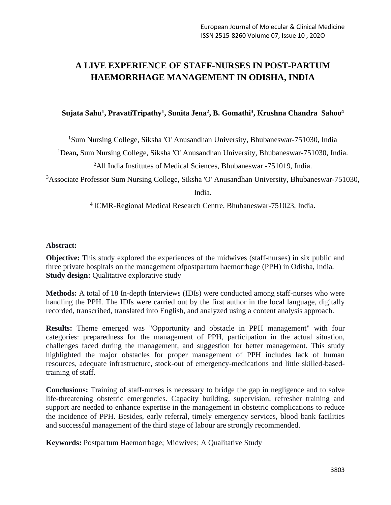# **A LIVE EXPERIENCE OF STAFF-NURSES IN POST-PARTUM HAEMORRHAGE MANAGEMENT IN ODISHA, INDIA**

# **Sujata Sahu<sup>1</sup> , PravatiTripathy<sup>1</sup> , Sunita Jena<sup>2</sup> , B. Gomathi<sup>3</sup> , Krushna Chandra Sahoo 4**

**<sup>1</sup>**Sum Nursing College, Siksha 'O' Anusandhan University, Bhubaneswar-751030, India

<sup>1</sup>Dean**,** Sum Nursing College, Siksha 'O' Anusandhan University, Bhubaneswar-751030, India.

**<sup>2</sup>**All India Institutes of Medical Sciences, Bhubaneswar -751019, India.

<sup>3</sup>Associate Professor Sum Nursing College, Siksha 'O' Anusandhan University, Bhubaneswar-751030,

India.

**<sup>4</sup>**ICMR-Regional Medical Research Centre, Bhubaneswar-751023, India.

#### **Abstract:**

**Objective:** This study explored the experiences of the midwives (staff-nurses) in six public and three private hospitals on the management ofpostpartum haemorrhage (PPH) in Odisha, India*.*  **Study design:** Qualitative explorative study

**Methods:** A total of 18 In-depth Interviews (IDIs) were conducted among staff-nurses who were handling the PPH. The IDIs were carried out by the first author in the local language, digitally recorded, transcribed, translated into English, and analyzed using a content analysis approach.

**Results:** Theme emerged was "Opportunity and obstacle in PPH management" with four categories: preparedness for the management of PPH, participation in the actual situation, challenges faced during the management, and suggestion for better management. This study highlighted the major obstacles for proper management of PPH includes lack of human resources, adequate infrastructure, stock-out of emergency-medications and little skilled-basedtraining of staff.

**Conclusions:** Training of staff-nurses is necessary to bridge the gap in negligence and to solve life-threatening obstetric emergencies. Capacity building, supervision, refresher training and support are needed to enhance expertise in the management in obstetric complications to reduce the incidence of PPH. Besides, early referral, timely emergency services, blood bank facilities and successful management of the third stage of labour are strongly recommended.

**Keywords:** Postpartum Haemorrhage; Midwives; A Qualitative Study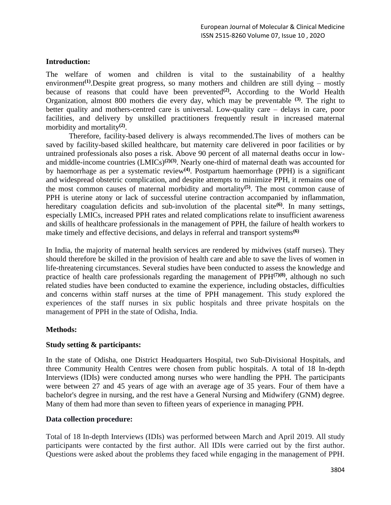# **Introduction:**

The welfare of women and children is vital to the sustainability of a healthy environment<sup>(1)</sup>. Despite great progress, so many mothers and children are still dying – mostly because of reasons that could have been prevented**(2) .** According to the World Health Organization, almost 800 mothers die every day, which may be preventable **(3)**. The right to better quality and mothers-centred care is universal. Low-quality care – delays in care, poor facilities, and delivery by unskilled practitioners frequently result in increased maternal morbidity and mortality**(2)** .

Therefore, facility-based delivery is always recommended.The lives of mothers can be saved by facility-based skilled healthcare, but maternity care delivered in poor facilities or by untrained professionals also poses a risk. Above 90 percent of all maternal deaths occur in lowand middle-income countries (LMICs)**(2)(3)**. Nearly one-third of maternal death was accounted for by haemorrhage as per a systematic review**(4)**. Postpartum haemorrhage (PPH) is a significant and widespread obstetric complication, and despite attempts to minimize PPH, it remains one of the most common causes of maternal morbidity and mortality**(5)**. The most common cause of PPH is uterine atony or lack of successful uterine contraction accompanied by inflammation, hereditary coagulation deficits and sub-involution of the placental site<sup>(6)</sup>. In many settings, especially LMICs, increased PPH rates and related complications relate to insufficient awareness and skills of healthcare professionals in the management of PPH, the failure of health workers to make timely and effective decisions, and delays in referral and transport systems**(6)**

In India, the majority of maternal health services are rendered by midwives (staff nurses). They should therefore be skilled in the provision of health care and able to save the lives of women in life-threatening circumstances. Several studies have been conducted to assess the knowledge and practice of health care professionals regarding the management of PPH**(7)(8)**, although no such related studies have been conducted to examine the experience, including obstacles, difficulties and concerns within staff nurses at the time of PPH management. This study explored the experiences of the staff nurses in six public hospitals and three private hospitals on the management of PPH in the state of Odisha, India.

# **Methods:**

# **Study setting & participants:**

In the state of Odisha, one District Headquarters Hospital, two Sub-Divisional Hospitals, and three Community Health Centres were chosen from public hospitals. A total of 18 In-depth Interviews (IDIs) were conducted among nurses who were handling the PPH. The participants were between 27 and 45 years of age with an average age of 35 years. Four of them have a bachelor's degree in nursing, and the rest have a General Nursing and Midwifery (GNM) degree. Many of them had more than seven to fifteen years of experience in managing PPH.

# **Data collection procedure:**

Total of 18 In-depth Interviews (IDIs) was performed between March and April 2019. All study participants were contacted by the first author. All IDIs were carried out by the first author. Questions were asked about the problems they faced while engaging in the management of PPH.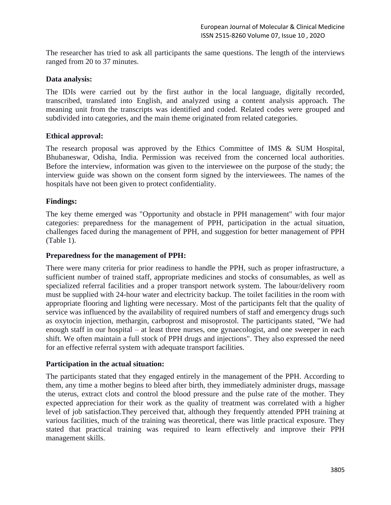The researcher has tried to ask all participants the same questions. The length of the interviews ranged from 20 to 37 minutes.

# **Data analysis:**

The IDIs were carried out by the first author in the local language, digitally recorded, transcribed, translated into English, and analyzed using a content analysis approach. The meaning unit from the transcripts was identified and coded. Related codes were grouped and subdivided into categories, and the main theme originated from related categories.

#### **Ethical approval:**

The research proposal was approved by the Ethics Committee of IMS & SUM Hospital, Bhubaneswar, Odisha, India. Permission was received from the concerned local authorities. Before the interview, information was given to the interviewee on the purpose of the study; the interview guide was shown on the consent form signed by the interviewees. The names of the hospitals have not been given to protect confidentiality.

#### **Findings:**

The key theme emerged was "Opportunity and obstacle in PPH management" with four major categories: preparedness for the management of PPH, participation in the actual situation, challenges faced during the management of PPH, and suggestion for better management of PPH (Table 1).

#### **Preparedness for the management of PPH:**

There were many criteria for prior readiness to handle the PPH, such as proper infrastructure, a sufficient number of trained staff, appropriate medicines and stocks of consumables, as well as specialized referral facilities and a proper transport network system. The labour/delivery room must be supplied with 24-hour water and electricity backup. The toilet facilities in the room with appropriate flooring and lighting were necessary. Most of the participants felt that the quality of service was influenced by the availability of required numbers of staff and emergency drugs such as oxytocin injection, methargin, carboprost and misoprostol. The participants stated, "We had enough staff in our hospital – at least three nurses, one gynaecologist, and one sweeper in each shift. We often maintain a full stock of PPH drugs and injections". They also expressed the need for an effective referral system with adequate transport facilities.

#### **Participation in the actual situation:**

The participants stated that they engaged entirely in the management of the PPH. According to them, any time a mother begins to bleed after birth, they immediately administer drugs, massage the uterus, extract clots and control the blood pressure and the pulse rate of the mother. They expected appreciation for their work as the quality of treatment was correlated with a higher level of job satisfaction.They perceived that, although they frequently attended PPH training at various facilities, much of the training was theoretical, there was little practical exposure. They stated that practical training was required to learn effectively and improve their PPH management skills.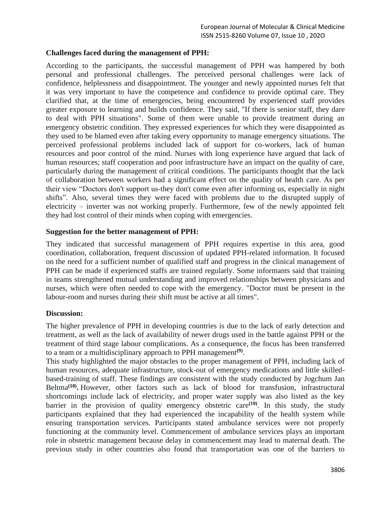# **Challenges faced during the management of PPH:**

According to the participants, the successful management of PPH was hampered by both personal and professional challenges. The perceived personal challenges were lack of confidence, helplessness and disappointment. The younger and newly appointed nurses felt that it was very important to have the competence and confidence to provide optimal care. They clarified that, at the time of emergencies, being encountered by experienced staff provides greater exposure to learning and builds confidence. They said, "If there is senior staff, they dare to deal with PPH situations". Some of them were unable to provide treatment during an emergency obstetric condition. They expressed experiences for which they were disappointed as they used to be blamed even after taking every opportunity to manage emergency situations. The perceived professional problems included lack of support for co-workers, lack of human resources and poor control of the mind. Nurses with long experience have argued that lack of human resources; staff cooperation and poor infrastructure have an impact on the quality of care, particularly during the management of critical conditions. The participants thought that the lack of collaboration between workers had a significant effect on the quality of health care. As per their view "Doctors don't support us-they don't come even after informing us, especially in night shifts". Also, several times they were faced with problems due to the disrupted supply of electricity – inverter was not working properly. Furthermore, few of the newly appointed felt they had lost control of their minds when coping with emergencies.

# **Suggestion for the better management of PPH:**

They indicated that successful management of PPH requires expertise in this area, good coordination, collaboration, frequent discussion of updated PPH-related information. It focused on the need for a sufficient number of qualified staff and progress in the clinical management of PPH can be made if experienced staffs are trained regularly. Some informants said that training in teams strengthened mutual understanding and improved relationships between physicians and nurses, which were often needed to cope with the emergency. "Doctor must be present in the labour-room and nurses during their shift must be active at all times".

# **Discussion:**

The higher prevalence of PPH in developing countries is due to the lack of early detection and treatment, as well as the lack of availability of newer drugs used in the battle against PPH or the treatment of third stage labour complications. As a consequence, the focus has been transferred to a team or a multidisciplinary approach to PPH management**(9)** .

This study highlighted the major obstacles to the proper management of PPH, including lack of human resources, adequate infrastructure, stock-out of emergency medications and little skilledbased-training of staff. These findings are consistent with the study conducted by Jogchum Jan Beltma**(10) .** However, other factors such as lack of blood for transfusion, infrastructural shortcomings include lack of electricity, and proper water supply was also listed as the key barrier in the provision of quality emergency obstetric care**(10)** . In this study, the study participants explained that they had experienced the incapability of the health system while ensuring transportation services. Participants stated ambulance services were not properly functioning at the community level. Commencement of ambulance services plays an important role in obstetric management because delay in commencement may lead to maternal death. The previous study in other countries also found that transportation was one of the barriers to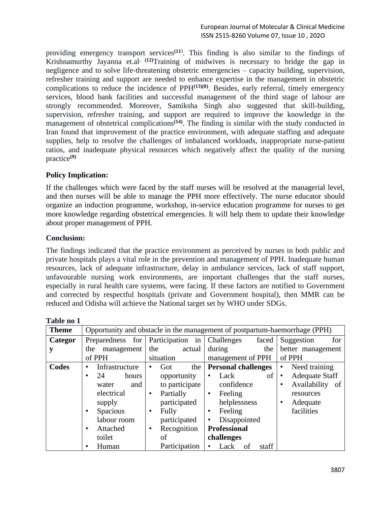providing emergency transport services**(11**) . This finding is also similar to the findings of Krishnamurthy Jayanna et.al**. (12)**Training of midwives is necessary to bridge the gap in negligence and to solve life-threatening obstetric emergencies – capacity building, supervision, refresher training and support are needed to enhance expertise in the management in obstetric complications to reduce the incidence of PPH**(13)(8)** . Besides, early referral, timely emergency services, blood bank facilities and successful management of the third stage of labour are strongly recommended. Moreover, Samiksha Singh also suggested that skill-building, supervision, refresher training, and support are required to improve the knowledge in the management of obstetrical complications**(14)**. The finding is similar with the study conducted in Iran found that improvement of the practice environment, with adequate staffing and adequate supplies, help to resolve the challenges of imbalanced workloads, inappropriate nurse-patient ratios, and inadequate physical resources which negatively affect the quality of the nursing practice**(9)**

# **Policy Implication:**

If the challenges which were faced by the staff nurses will be resolved at the managerial level, and then nurses will be able to manage the PPH more effectively. The nurse educator should organize an induction programme, workshop, in-service education programme for nurses to get more knowledge regarding obstetrical emergencies. It will help them to update their knowledge about proper management of PPH.

# **Conclusion:**

The findings indicated that the practice environment as perceived by nurses in both public and private hospitals plays a vital role in the prevention and management of PPH. Inadequate human resources, lack of adequate infrastructure, delay in ambulance services, lack of staff support, unfavourable nursing work environments, are important challenges that the staff nurses, especially in rural health care systems, were facing. If these factors are notified to Government and corrected by respectful hospitals (private and Government hospital), then MMR can be reduced and Odisha will achieve the National target set by WHO under SDGs.

| 1 avic 110 1 |                                                                            |                  |                            |                                 |  |
|--------------|----------------------------------------------------------------------------|------------------|----------------------------|---------------------------------|--|
| <b>Theme</b> | Opportunity and obstacle in the management of postpartum-haemorrhage (PPH) |                  |                            |                                 |  |
| Categor      | Preparedness for                                                           | Participation in | faced<br>Challenges        | Suggestion<br>for               |  |
| у            | management<br>the                                                          | the<br>actual    | during<br>the              | better management               |  |
|              | of PPH                                                                     | situation        | management of PPH          | of PPH                          |  |
| <b>Codes</b> | Infrastructure<br>$\bullet$                                                | the<br>Got<br>٠  | <b>Personal challenges</b> | Need training<br>$\bullet$      |  |
|              | 24<br>hours<br>$\bullet$                                                   | opportunity      | of<br>Lack                 | <b>Adequate Staff</b>           |  |
|              | and<br>water                                                               | to participate   | confidence                 | Availability<br>of<br>$\bullet$ |  |
|              | electrical                                                                 | Partially<br>٠   | Feeling<br>٠               | resources                       |  |
|              | supply                                                                     | participated     | helplessness               | Adequate                        |  |
|              | <b>Spacious</b><br>$\bullet$                                               | Fully<br>٠       | Feeling                    | facilities                      |  |
|              | labour room                                                                | participated     | Disappointed               |                                 |  |
|              | Attached<br>$\bullet$                                                      | Recognition<br>٠ | <b>Professional</b>        |                                 |  |
|              | toilet                                                                     | of               | challenges                 |                                 |  |
|              | Human<br>٠                                                                 | Participation    | Lack<br>staff<br>of        |                                 |  |

**Table no 1**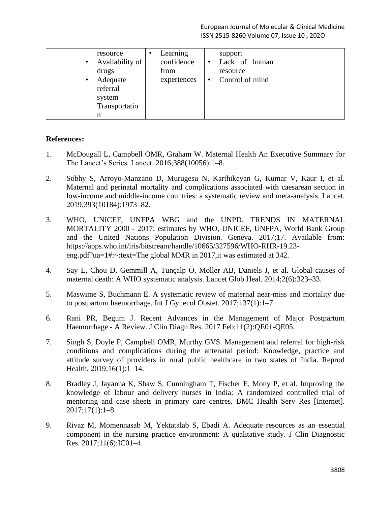| resource<br>Availability of<br>drugs<br>Adequate<br>٠<br>referral<br>system<br>Transportatio | Learning<br>confidence<br>from<br>experiences | support<br>Lack of human<br>$\bullet$<br>resource<br>Control of mind<br>$\bullet$ |  |
|----------------------------------------------------------------------------------------------|-----------------------------------------------|-----------------------------------------------------------------------------------|--|
| n                                                                                            |                                               |                                                                                   |  |

# **References:**

- 1. McDougall L, Campbell OMR, Graham W. Maternal Health An Executive Summary for The Lancet's Series. Lancet. 2016;388(10056):1–8.
- 2. Sobhy S, Arroyo-Manzano D, Murugesu N, Karthikeyan G, Kumar V, Kaur I, et al. Maternal and perinatal mortality and complications associated with caesarean section in low-income and middle-income countries: a systematic review and meta-analysis. Lancet. 2019;393(10184):1973–82.
- 3. WHO, UNICEF, UNFPA WBG and the UNPD. TRENDS IN MATERNAL MORTALITY 2000 - 2017: estimates by WHO, UNICEF, UNFPA, World Bank Group and the United Nations Population Division. Geneva. 2017;17. Available from: https://apps.who.int/iris/bitstream/handle/10665/327596/WHO-RHR-19.23 eng.pdf?ua=1#:~:text=The global MMR in 2017,it was estimated at 342.
- 4. Say L, Chou D, Gemmill A, Tunçalp Ö, Moller AB, Daniels J, et al. Global causes of maternal death: A WHO systematic analysis. Lancet Glob Heal. 2014;2(6):323–33.
- 5. Maswime S, Buchmann E. A systematic review of maternal near-miss and mortality due to postpartum haemorrhage. Int J Gynecol Obstet. 2017;137(1):1–7.
- 6. Rani PR, Begum J. Recent Advances in the Management of Major Postpartum Haemorrhage - A Review. J Clin Diagn Res. 2017 Feb;11(2):QE01-QE05.
- 7. Singh S, Doyle P, Campbell OMR, Murthy GVS. Management and referral for high-risk conditions and complications during the antenatal period: Knowledge, practice and attitude survey of providers in rural public healthcare in two states of India. Reprod Health. 2019;16(1):1–14.
- 8. Bradley J, Jayanna K, Shaw S, Cunningham T, Fischer E, Mony P, et al. Improving the knowledge of labour and delivery nurses in India: A randomized controlled trial of mentoring and case sheets in primary care centres. BMC Health Serv Res [Internet].  $2017;17(1):1-8.$
- 9. Rivaz M, Momennasab M, Yektatalab S, Ebadi A. Adequate resources as an essential component in the nursing practice environment: A qualitative study. J Clin Diagnostic Res. 2017;11(6):IC01–4.